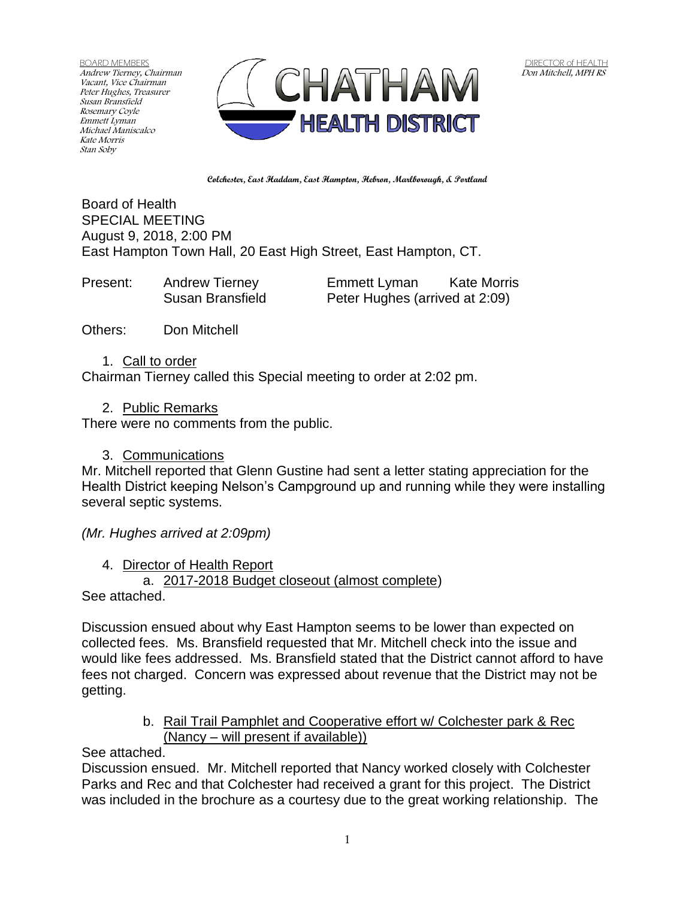BOARD MEMBERS Andrew Tierney, Chairman Vacant, Vice Chairman Peter Hughes, Treasurer Susan Bransfield Rosemary Coyle Emmett Lyman Michael Maniscalco Kate Morris Stan Soby



**Colchester, East Haddam, East Hampton, Hebron, Marlborough, & Portland**

Board of Health SPECIAL MEETING August 9, 2018, 2:00 PM East Hampton Town Hall, 20 East High Street, East Hampton, CT.

Present: Andrew Tierney Emmett Lyman Kate Morris Susan Bransfield Peter Hughes (arrived at 2:09)

Others: Don Mitchell

1. Call to order Chairman Tierney called this Special meeting to order at 2:02 pm.

2. Public Remarks

There were no comments from the public.

3. Communications

Mr. Mitchell reported that Glenn Gustine had sent a letter stating appreciation for the Health District keeping Nelson's Campground up and running while they were installing several septic systems.

*(Mr. Hughes arrived at 2:09pm)*

4. Director of Health Report

a. 2017-2018 Budget closeout (almost complete)

See attached.

Discussion ensued about why East Hampton seems to be lower than expected on collected fees. Ms. Bransfield requested that Mr. Mitchell check into the issue and would like fees addressed. Ms. Bransfield stated that the District cannot afford to have fees not charged. Concern was expressed about revenue that the District may not be getting.

> b. Rail Trail Pamphlet and Cooperative effort w/ Colchester park & Rec (Nancy – will present if available))

See attached.

Discussion ensued. Mr. Mitchell reported that Nancy worked closely with Colchester Parks and Rec and that Colchester had received a grant for this project. The District was included in the brochure as a courtesy due to the great working relationship. The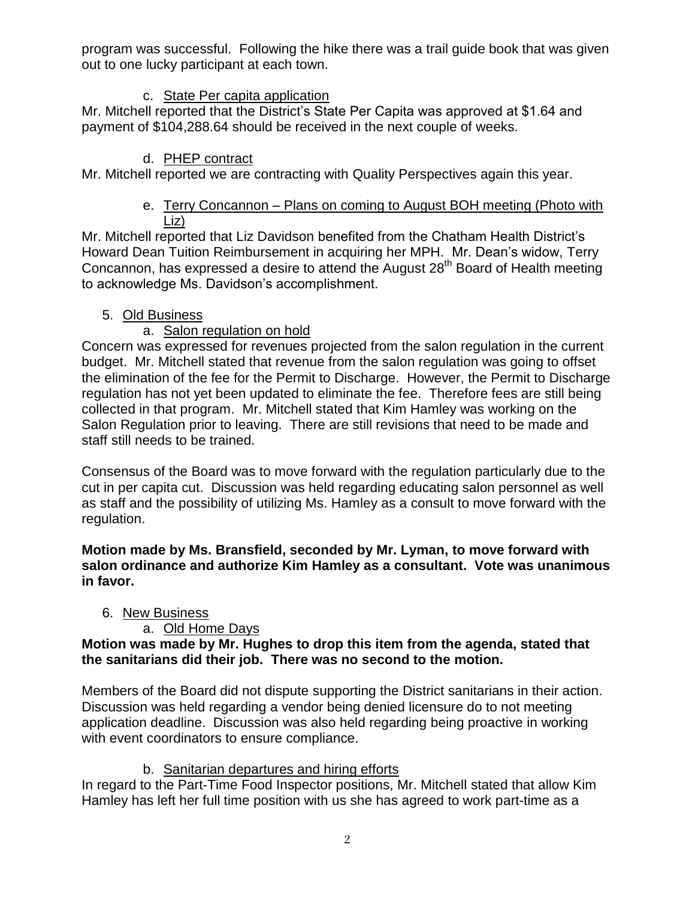program was successful. Following the hike there was a trail guide book that was given out to one lucky participant at each town.

### c. State Per capita application

Mr. Mitchell reported that the District's State Per Capita was approved at \$1.64 and payment of \$104,288.64 should be received in the next couple of weeks.

# d. PHEP contract

Mr. Mitchell reported we are contracting with Quality Perspectives again this year.

### e. Terry Concannon – Plans on coming to August BOH meeting (Photo with Liz)

Mr. Mitchell reported that Liz Davidson benefited from the Chatham Health District's Howard Dean Tuition Reimbursement in acquiring her MPH. Mr. Dean's widow, Terry Concannon, has expressed a desire to attend the August 28<sup>th</sup> Board of Health meeting to acknowledge Ms. Davidson's accomplishment.

### 5. Old Business

# a. Salon regulation on hold

Concern was expressed for revenues projected from the salon regulation in the current budget. Mr. Mitchell stated that revenue from the salon regulation was going to offset the elimination of the fee for the Permit to Discharge. However, the Permit to Discharge regulation has not yet been updated to eliminate the fee. Therefore fees are still being collected in that program. Mr. Mitchell stated that Kim Hamley was working on the Salon Regulation prior to leaving. There are still revisions that need to be made and staff still needs to be trained.

Consensus of the Board was to move forward with the regulation particularly due to the cut in per capita cut. Discussion was held regarding educating salon personnel as well as staff and the possibility of utilizing Ms. Hamley as a consult to move forward with the regulation.

**Motion made by Ms. Bransfield, seconded by Mr. Lyman, to move forward with salon ordinance and authorize Kim Hamley as a consultant. Vote was unanimous in favor.**

### 6. New Business

### a. Old Home Days

### **Motion was made by Mr. Hughes to drop this item from the agenda, stated that the sanitarians did their job. There was no second to the motion.**

Members of the Board did not dispute supporting the District sanitarians in their action. Discussion was held regarding a vendor being denied licensure do to not meeting application deadline. Discussion was also held regarding being proactive in working with event coordinators to ensure compliance.

# b. Sanitarian departures and hiring efforts

In regard to the Part-Time Food Inspector positions, Mr. Mitchell stated that allow Kim Hamley has left her full time position with us she has agreed to work part-time as a